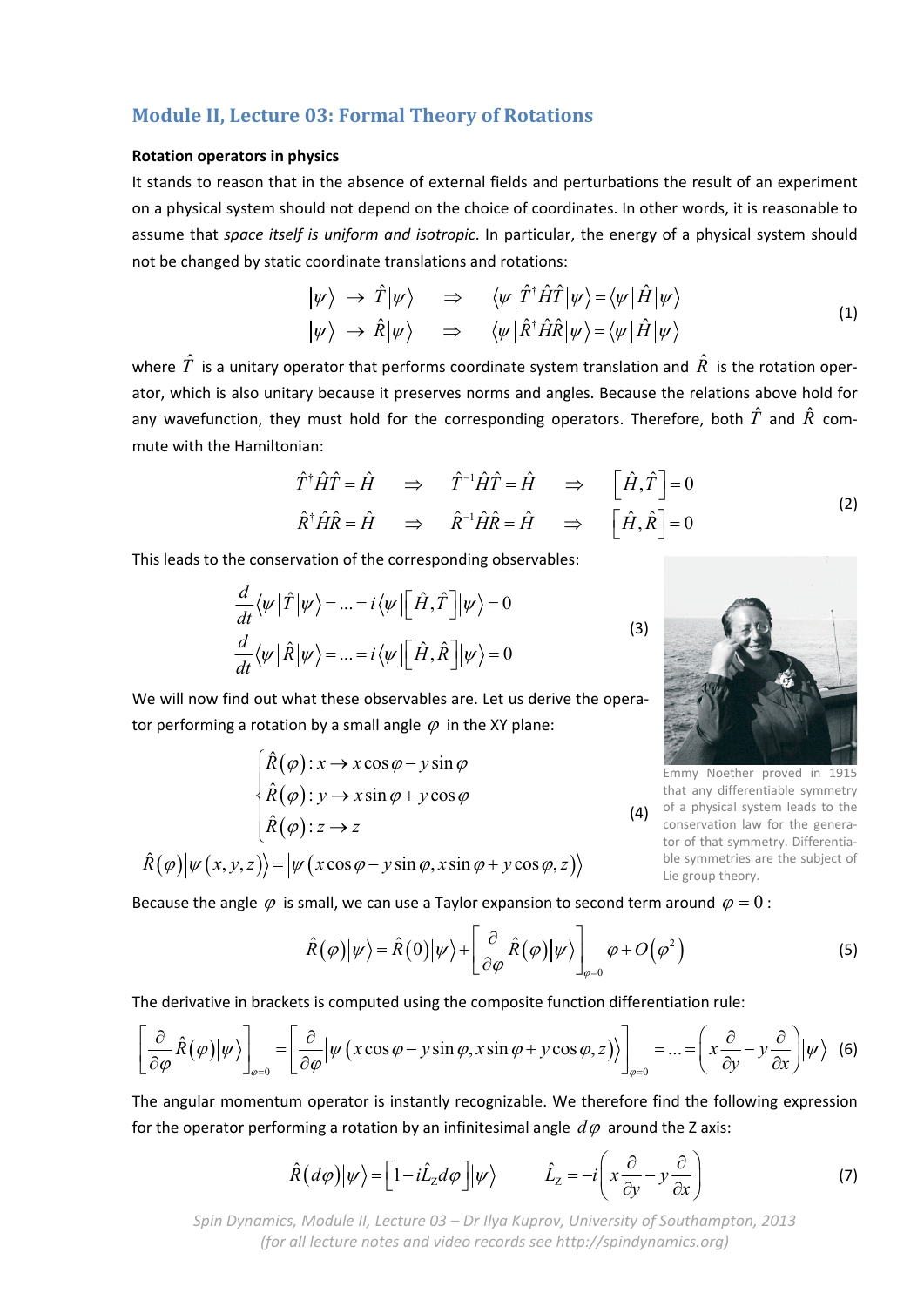# **Module II, Lecture 03: Formal Theory of Rotations**

#### **Rotation operators in physics**

It stands to reason that in the absence of external fields and perturbations the result of an experiment on a physical system should not depend on the choice of coordinates. In other words, it is reasonable to assume that *space itself is uniform and isotropic*. In particular, the energy of a physical system should not be changed by static coordinate translations and rotations:

$$
\begin{array}{rcl}\n|\psi\rangle & \rightarrow & \hat{T}|\psi\rangle & \Rightarrow & \langle\psi|\hat{T}^{\dagger}\hat{H}\hat{T}|\psi\rangle = \langle\psi|\hat{H}|\psi\rangle \\
|\psi\rangle & \rightarrow & \hat{R}|\psi\rangle & \Rightarrow & \langle\psi|\hat{R}^{\dagger}\hat{H}\hat{R}|\psi\rangle = \langle\psi|\hat{H}|\psi\rangle\n\end{array} \tag{1}
$$

where  $\hat{T}$  is a unitary operator that performs coordinate system translation and  $\hat{R}$  is the rotation operator, which is also unitary because it preserves norms and angles. Because the relations above hold for any wavefunction, they must hold for the corresponding operators. Therefore, both  $\hat{T}$  and  $\hat{R}$  commute with the Hamiltonian:

$$
\hat{T}^{\dagger} \hat{H} \hat{T} = \hat{H} \Rightarrow \hat{T}^{-1} \hat{H} \hat{T} = \hat{H} \Rightarrow [\hat{H}, \hat{T}] = 0
$$
  

$$
\hat{R}^{\dagger} \hat{H} \hat{R} = \hat{H} \Rightarrow \hat{R}^{-1} \hat{H} \hat{R} = \hat{H} \Rightarrow [\hat{H}, \hat{R}] = 0
$$
 (2)

This leads to the conservation of the corresponding observables:

$$
\frac{d}{dt}\langle\psi|\hat{T}|\psi\rangle = ... = i\langle\psi| \left[\hat{H}, \hat{T}\right]|\psi\rangle = 0
$$
\n
$$
\frac{d}{dt}\langle\psi|\hat{R}|\psi\rangle = ... = i\langle\psi| \left[\hat{H}, \hat{R}\right]|\psi\rangle = 0
$$
\n(3)

(4) of a physical system leads to the Emmy Noether proved in 1915 that any differentiable symmetry conservation law for the genera‐ tor of that symmetry. Differentia‐ ble symmetries are the subject of Lie group theory.

We will now find out what these observables are. Let us derive the operator performing a rotation by a small angle  $\varphi$  in the XY plane:

$$
\begin{cases}\n\hat{R}(\varphi): x \to x \cos \varphi - y \sin \varphi \\
\hat{R}(\varphi): y \to x \sin \varphi + y \cos \varphi \\
\hat{R}(\varphi): z \to z\n\end{cases}
$$

 $\hat{R}(\varphi)|\psi(x, y, z)\rangle = |\psi(x\cos\varphi - y\sin\varphi, x\sin\varphi + y\cos\varphi, z)\rangle$ 

Because the angle  $\varphi$  is small, we can use a Taylor expansion to second term around  $\varphi = 0$ :

$$
\hat{R}(\varphi)|\psi\rangle = \hat{R}(0)|\psi\rangle + \left[\frac{\partial}{\partial \varphi}\hat{R}(\varphi)|\psi\rangle\right]_{\varphi=0}\varphi + O(\varphi^2)
$$
\n(5)

The derivative in brackets is computed using the composite function differentiation rule:

$$
\left[\frac{\partial}{\partial \varphi}\hat{R}(\varphi)|\psi\rangle\right]_{\varphi=0} = \left[\frac{\partial}{\partial \varphi}|\psi(x\cos\varphi - y\sin\varphi, x\sin\varphi + y\cos\varphi, z)\rangle\right]_{\varphi=0} = ... = \left(x\frac{\partial}{\partial y} - y\frac{\partial}{\partial x}\right)|\psi\rangle
$$
 (6)

The angular momentum operator is instantly recognizable. We therefore find the following expression for the operator performing a rotation by an infinitesimal angle  $d\varphi$  around the Z axis:

$$
\hat{R}(d\varphi)|\psi\rangle = \left[1 - i\hat{L}_z d\varphi\right]|\psi\rangle \qquad \hat{L}_z = -i\left(x\frac{\partial}{\partial y} - y\frac{\partial}{\partial x}\right) \tag{7}
$$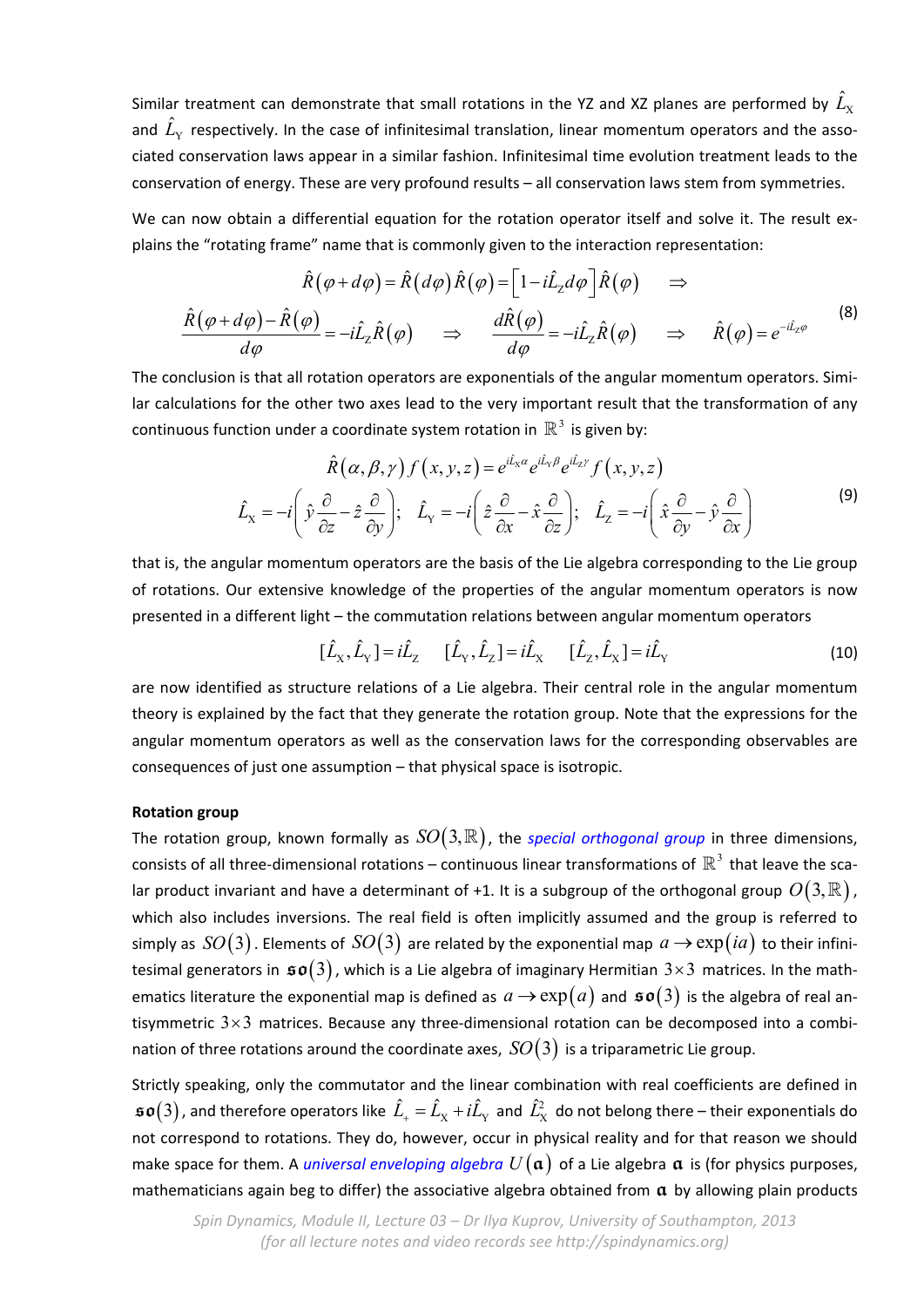Similar treatment can demonstrate that small rotations in the YZ and XZ planes are performed by  $\hat{L}_{\rm X}$ and  $\hat{L}_{\rm v}$  respectively. In the case of infinitesimal translation, linear momentum operators and the associated conservation laws appear in a similar fashion. Infinitesimal time evolution treatment leads to the conservation of energy. These are very profound results – all conservation laws stem from symmetries.

We can now obtain a differential equation for the rotation operator itself and solve it. The result explains the "rotating frame" name that is commonly given to the interaction representation:

$$
\hat{R}(\varphi + d\varphi) = \hat{R}(d\varphi)\hat{R}(\varphi) = \left[1 - i\hat{L}_z d\varphi\right]\hat{R}(\varphi) \quad \Rightarrow
$$
\n
$$
\frac{\hat{R}(\varphi + d\varphi) - \hat{R}(\varphi)}{d\varphi} = -i\hat{L}_z\hat{R}(\varphi) \quad \Rightarrow \quad \frac{d\hat{R}(\varphi)}{d\varphi} = -i\hat{L}_z\hat{R}(\varphi) \quad \Rightarrow \quad \hat{R}(\varphi) = e^{-i\hat{L}_z\varphi}
$$
\n(8)

The conclusion is that all rotation operators are exponentials of the angular momentum operators. Similar calculations for the other two axes lead to the very important result that the transformation of any continuous function under a coordinate system rotation in  $\mathbb{R}^3$  is given by:

$$
\hat{R}(\alpha, \beta, \gamma) f(x, y, z) = e^{i\hat{L}_x \alpha} e^{i\hat{L}_y \beta} e^{i\hat{L}_z \gamma} f(x, y, z)
$$
\n
$$
\hat{L}_x = -i \left( \hat{y} \frac{\partial}{\partial z} - \hat{z} \frac{\partial}{\partial y} \right); \quad \hat{L}_y = -i \left( \hat{z} \frac{\partial}{\partial x} - \hat{x} \frac{\partial}{\partial z} \right); \quad \hat{L}_z = -i \left( \hat{x} \frac{\partial}{\partial y} - \hat{y} \frac{\partial}{\partial x} \right)
$$
\n(9)

that is, the angular momentum operators are the basis of the Lie algebra corresponding to the Lie group of rotations. Our extensive knowledge of the properties of the angular momentum operators is now presented in a different light – the commutation relations between angular momentum operators

$$
[\hat{L}_X, \hat{L}_Y] = i\hat{L}_Z \qquad [\hat{L}_Y, \hat{L}_Z] = i\hat{L}_X \qquad [\hat{L}_Z, \hat{L}_X] = i\hat{L}_Y \tag{10}
$$

are now identified as structure relations of a Lie algebra. Their central role in the angular momentum theory is explained by the fact that they generate the rotation group. Note that the expressions for the angular momentum operators as well as the conservation laws for the corresponding observables are consequences of just one assumption – that physical space is isotropic.

## **Rotation group**

The rotation group, known formally as  $SO(3,\mathbb{R})$ , the *special orthogonal group* in three dimensions, consists of all three-dimensional rotations – continuous linear transformations of  $\mathbb{R}^3$  that leave the scalar product invariant and have a determinant of +1. It is a subgroup of the orthogonal group  $O(3, \mathbb{R})$ , which also includes inversions. The real field is often implicitly assumed and the group is referred to simply as  $SO(3)$ . Elements of  $SO(3)$  are related by the exponential map  $a \rightarrow \exp(ia)$  to their infinitesimal generators in  $\mathfrak{so}(3)$ , which is a Lie algebra of imaginary Hermitian  $3\times 3$  matrices. In the mathematics literature the exponential map is defined as  $a \to \exp(a)$  and  $\mathfrak{so}(3)$  is the algebra of real antisymmetric  $3 \times 3$  matrices. Because any three-dimensional rotation can be decomposed into a combination of three rotations around the coordinate axes,  $SO(3)$  is a triparametric Lie group.

Strictly speaking, only the commutator and the linear combination with real coefficients are defined in  $\frak{so}(3)$  , and therefore operators like  $\hat{L}_+=\hat{L}_\text{X}+i\hat{L}_\text{Y}$  and  $\hat{L}_\text{X}^2$  do not belong there – their exponentials do not correspond to rotations. They do, however, occur in physical reality and for that reason we should make space for them. A *universal enveloping algebra*  $U(\mathfrak{a})$  of a Lie algebra  $\mathfrak{a}$  is (for physics purposes, mathematicians again beg to differ) the associative algebra obtained from  $\alpha$  by allowing plain products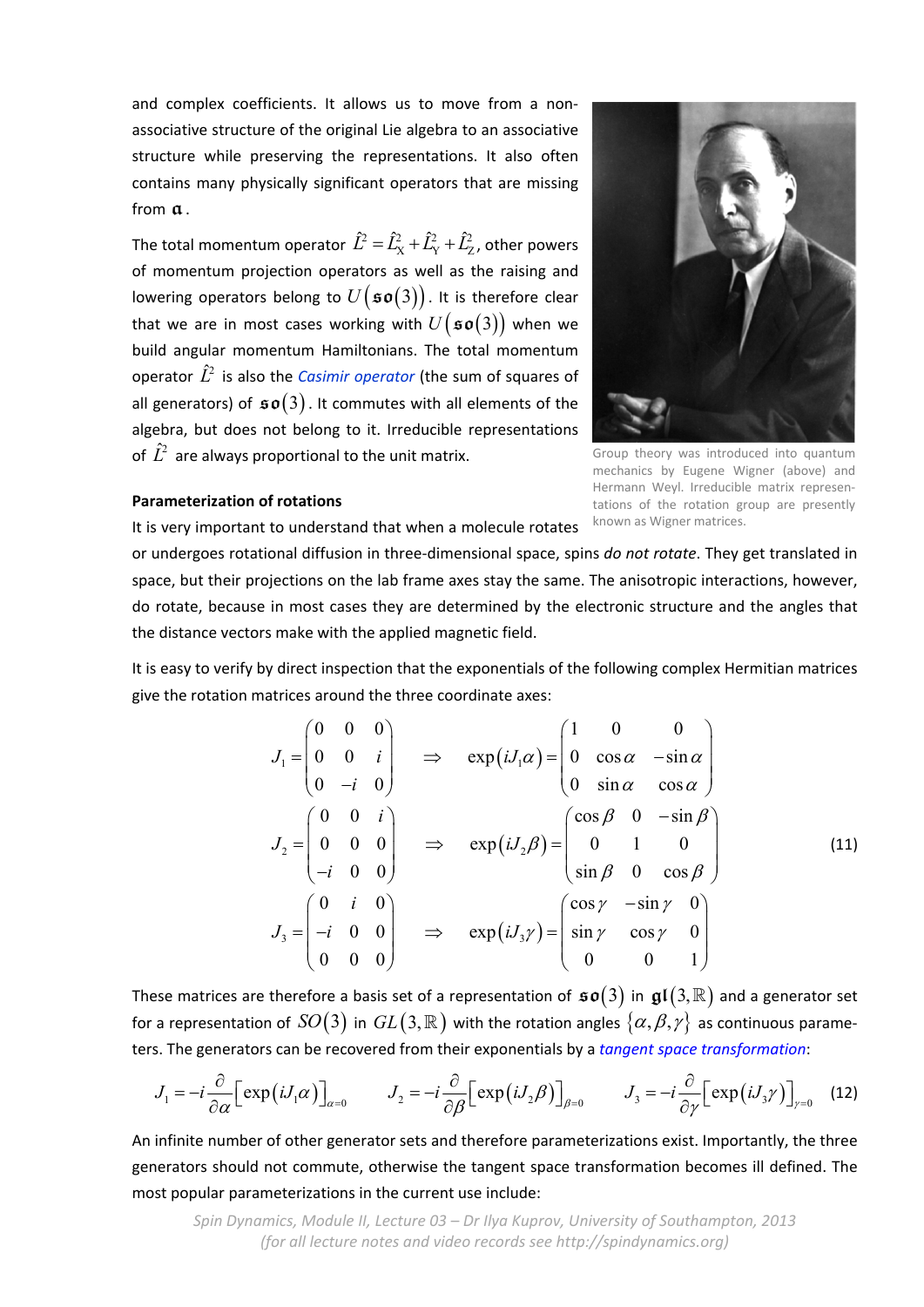and complex coefficients. It allows us to move from a nonassociative structure of the original Lie algebra to an associative structure while preserving the representations. It also often contains many physically significant operators that are missing from **a**.

The total momentum operator  $\hat{L}^2 = \hat{L}_{\rm X}^2 + \hat{L}_{\rm Y}^2 + \hat{L}_{\rm Z}^2$  , other powers of momentum projection operators as well as the raising and lowering operators belong to  $U({\mathfrak{so}}(3))$ . It is therefore clear that we are in most cases working with  $U(\mathfrak{so}(3))$  when we build angular momentum Hamiltonians. The total momentum operator  $\hat{L}^2$  is also the *Casimir operator* (the sum of squares of all generators) of  $\mathfrak{so}(3)$ . It commutes with all elements of the algebra, but does not belong to it. Irreducible representations of  $\hat{L}^2$  are always proportional to the unit matrix.



Group theory was introduced into quantum mechanics by Eugene Wigner (above) and Hermann Weyl. Irreducible matrix representations of the rotation group are presently known as Wigner matrices.

## **Parameterization of rotations**

It is very important to understand that when a molecule rotates

or undergoes rotational diffusion in three‐dimensional space, spins *do not rotate*. They get translated in space, but their projections on the lab frame axes stay the same. The anisotropic interactions, however, do rotate, because in most cases they are determined by the electronic structure and the angles that the distance vectors make with the applied magnetic field.

It is easy to verify by direct inspection that the exponentials of the following complex Hermitian matrices give the rotation matrices around the three coordinate axes:

$$
J_{1} = \begin{pmatrix} 0 & 0 & 0 \\ 0 & 0 & i \\ 0 & -i & 0 \end{pmatrix} \implies \exp(iJ_{1}\alpha) = \begin{pmatrix} 1 & 0 & 0 \\ 0 & \cos \alpha & -\sin \alpha \\ 0 & \sin \alpha & \cos \alpha \end{pmatrix}
$$
  

$$
J_{2} = \begin{pmatrix} 0 & 0 & i \\ 0 & 0 & 0 \\ -i & 0 & 0 \end{pmatrix} \implies \exp(iJ_{2}\beta) = \begin{pmatrix} \cos \beta & 0 & -\sin \beta \\ 0 & 1 & 0 \\ \sin \beta & 0 & \cos \beta \end{pmatrix}
$$
  

$$
J_{3} = \begin{pmatrix} 0 & i & 0 \\ -i & 0 & 0 \\ 0 & 0 & 0 \end{pmatrix} \implies \exp(iJ_{3}\gamma) = \begin{pmatrix} \cos \gamma & -\sin \gamma & 0 \\ \sin \gamma & \cos \gamma & 0 \\ 0 & 0 & 1 \end{pmatrix}
$$
 (11)

These matrices are therefore a basis set of a representation of  $\mathfrak{so}(3)$  in  $\mathfrak{gl}(3,\mathbb{R})$  and a generator set for a representation of  $SO(3)$  in  $GL(3,\mathbb{R})$  with the rotation angles  $\{\alpha,\beta,\gamma\}$  as continuous parameters. The generators can be recovered from their exponentials by a *tangent space transformation*:

$$
J_1 = -i\frac{\partial}{\partial \alpha} \Big[ \exp(iJ_1\alpha) \Big]_{\alpha=0} \qquad J_2 = -i\frac{\partial}{\partial \beta} \Big[ \exp(iJ_2\beta) \Big]_{\beta=0} \qquad J_3 = -i\frac{\partial}{\partial \gamma} \Big[ \exp(iJ_3\gamma) \Big]_{\gamma=0} \tag{12}
$$

An infinite number of other generator sets and therefore parameterizations exist. Importantly, the three generators should not commute, otherwise the tangent space transformation becomes ill defined. The most popular parameterizations in the current use include: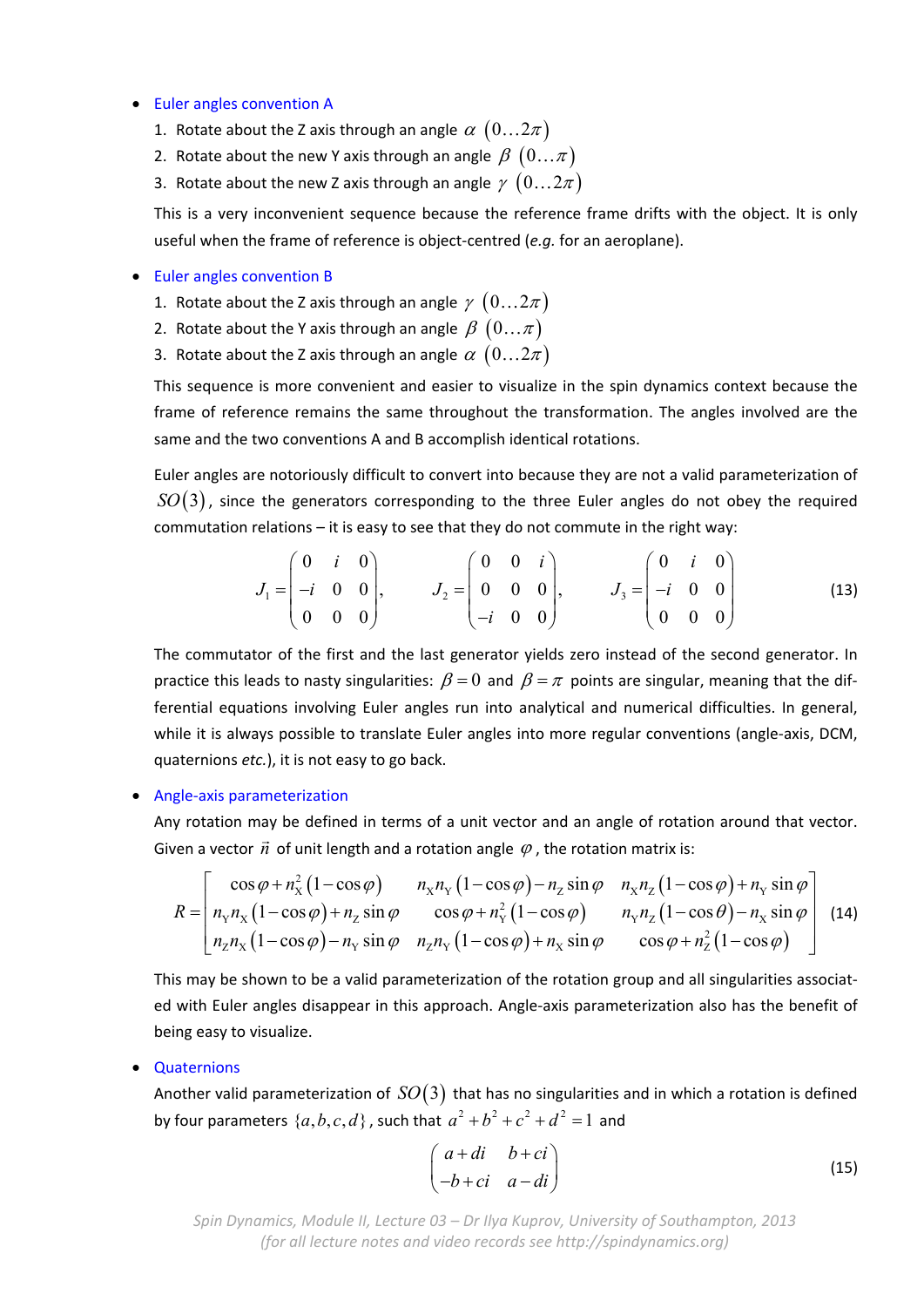#### Euler angles convention A

- 1. Rotate about the Z axis through an angle  $\alpha$   $(0...2\pi)$
- 2. Rotate about the new Y axis through an angle  $\beta$   $(0...\pi)$
- 3. Rotate about the new Z axis through an angle  $\gamma$   $(0...2\pi)$

This is a very inconvenient sequence because the reference frame drifts with the object. It is only useful when the frame of reference is object‐centred (*e.g.* for an aeroplane).

#### Euler angles convention B

- 1. Rotate about the Z axis through an angle  $\gamma$   $(0...2\pi)$
- 2. Rotate about the Y axis through an angle  $\beta$   $(0...\pi)$
- 3. Rotate about the Z axis through an angle  $\alpha$   $(0...2\pi)$

This sequence is more convenient and easier to visualize in the spin dynamics context because the frame of reference remains the same throughout the transformation. The angles involved are the same and the two conventions A and B accomplish identical rotations.

Euler angles are notoriously difficult to convert into because they are not a valid parameterization of  $SO(3)$ , since the generators corresponding to the three Euler angles do not obey the required commutation relations – it is easy to see that they do not commute in the right way:

$$
J_1 = \begin{pmatrix} 0 & i & 0 \\ -i & 0 & 0 \\ 0 & 0 & 0 \end{pmatrix}, \qquad J_2 = \begin{pmatrix} 0 & 0 & i \\ 0 & 0 & 0 \\ -i & 0 & 0 \end{pmatrix}, \qquad J_3 = \begin{pmatrix} 0 & i & 0 \\ -i & 0 & 0 \\ 0 & 0 & 0 \end{pmatrix}
$$
(13)

The commutator of the first and the last generator yields zero instead of the second generator. In practice this leads to nasty singularities:  $\beta = 0$  and  $\beta = \pi$  points are singular, meaning that the differential equations involving Euler angles run into analytical and numerical difficulties. In general, while it is always possible to translate Euler angles into more regular conventions (angle-axis, DCM, quaternions *etc.*), it is not easy to go back.

#### ● Angle-axis parameterization

Any rotation may be defined in terms of a unit vector and an angle of rotation around that vector. Given a vector  $\vec{n}$  of unit length and a rotation angle  $\varphi$ , the rotation matrix is:

$$
R = \begin{bmatrix} \cos\varphi + n_x^2 (1 - \cos\varphi) & n_x n_y (1 - \cos\varphi) - n_z \sin\varphi & n_x n_z (1 - \cos\varphi) + n_y \sin\varphi \\ n_y n_x (1 - \cos\varphi) + n_z \sin\varphi & \cos\varphi + n_y^2 (1 - \cos\varphi) & n_y n_z (1 - \cos\theta) - n_x \sin\varphi \\ n_z n_x (1 - \cos\varphi) - n_y \sin\varphi & n_z n_y (1 - \cos\varphi) + n_x \sin\varphi & \cos\varphi + n_z^2 (1 - \cos\varphi) \end{bmatrix}
$$
(14)

This may be shown to be a valid parameterization of the rotation group and all singularities associated with Euler angles disappear in this approach. Angle‐axis parameterization also has the benefit of being easy to visualize.

#### • Quaternions

Another valid parameterization of  $SO(3)$  that has no singularities and in which a rotation is defined by four parameters  $\{a,b,c,d\}$ , such that  $a^2 + b^2 + c^2 + d^2 = 1$  and

$$
\begin{pmatrix} a+di & b+ci \ -b+ci & a-di \end{pmatrix}
$$
 (15)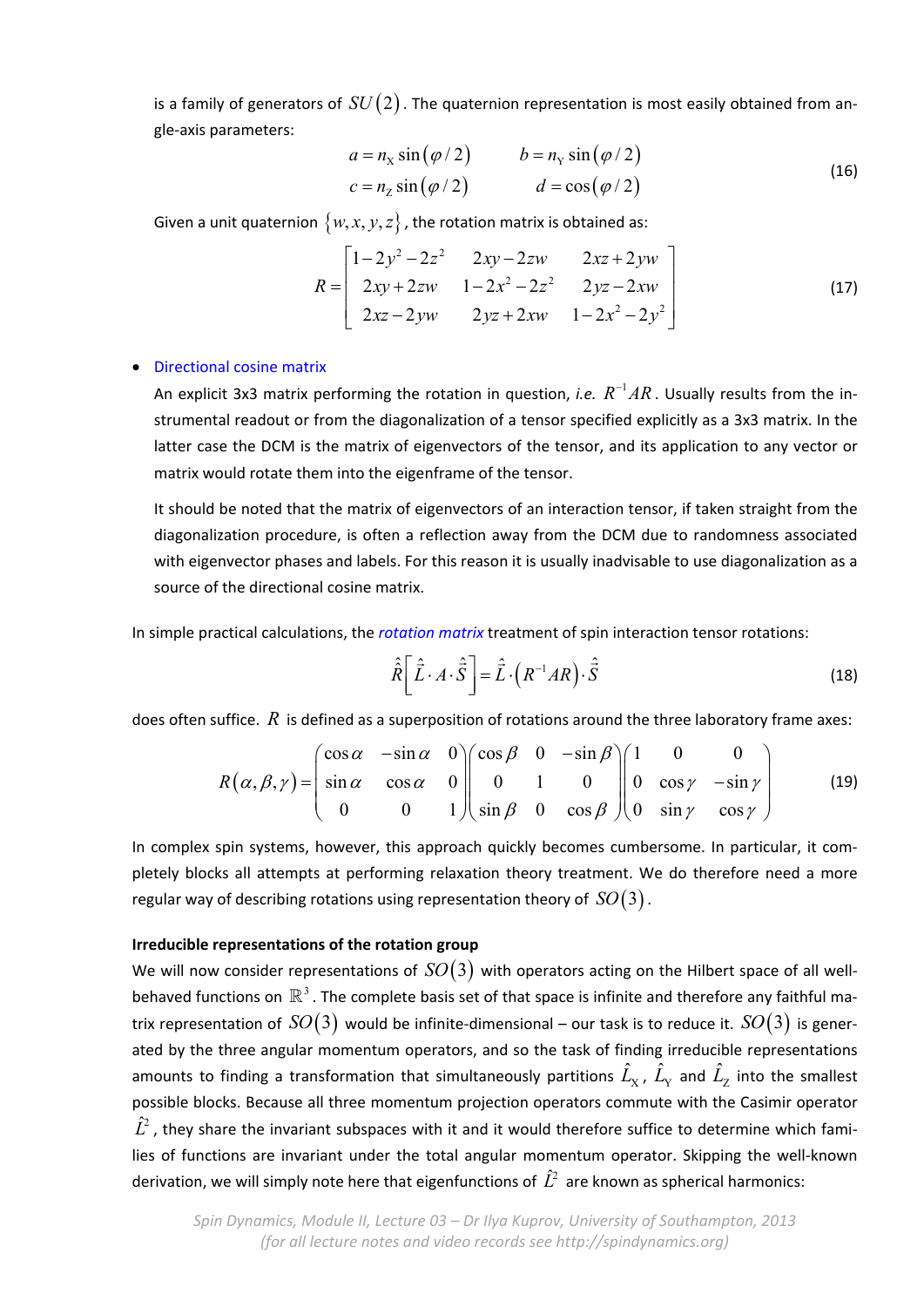is a family of generators of  $SU(2)$ . The quaternion representation is most easily obtained from angle‐axis parameters:

$$
a = nx sin(\varphi / 2) \t b = ny sin(\varphi / 2)
$$
  
\n
$$
c = nz sin(\varphi / 2) \t d = cos(\varphi / 2)
$$
\t(16)

Given a unit quaternion  $\{w, x, y, z\}$ , the rotation matrix is obtained as:

$$
R = \begin{bmatrix} 1 - 2y^2 - 2z^2 & 2xy - 2zw & 2xz + 2yw \\ 2xy + 2zw & 1 - 2x^2 - 2z^2 & 2yz - 2xw \\ 2xz - 2yw & 2yz + 2xw & 1 - 2x^2 - 2y^2 \end{bmatrix}
$$
(17)

# Directional cosine matrix

An explicit 3x3 matrix performing the rotation in question, *i.e.*  $R^{-1}AR$ . Usually results from the instrumental readout or from the diagonalization of a tensor specified explicitly as a 3x3 matrix. In the latter case the DCM is the matrix of eigenvectors of the tensor, and its application to any vector or matrix would rotate them into the eigenframe of the tensor.

It should be noted that the matrix of eigenvectors of an interaction tensor, if taken straight from the diagonalization procedure, is often a reflection away from the DCM due to randomness associated with eigenvector phases and labels. For this reason it is usually inadvisable to use diagonalization as a source of the directional cosine matrix.

In simple practical calculations, the *rotation matrix* treatment of spin interaction tensor rotations:

$$
\hat{\hat{R}} \left[ \hat{\vec{L}} \cdot A \cdot \hat{\vec{S}} \right] = \hat{\vec{L}} \cdot \left( R^{-1} A R \right) \cdot \hat{\vec{S}} \tag{18}
$$

does often suffice. *R* is defined as a superposition of rotations around the three laboratory frame axes:

$$
R(\alpha, \beta, \gamma) = \begin{pmatrix} \cos \alpha & -\sin \alpha & 0 \\ \sin \alpha & \cos \alpha & 0 \\ 0 & 0 & 1 \end{pmatrix} \begin{pmatrix} \cos \beta & 0 & -\sin \beta \\ 0 & 1 & 0 \\ \sin \beta & 0 & \cos \beta \end{pmatrix} \begin{pmatrix} 1 & 0 & 0 \\ 0 & \cos \gamma & -\sin \gamma \\ 0 & \sin \gamma & \cos \gamma \end{pmatrix} \tag{19}
$$

In complex spin systems, however, this approach quickly becomes cumbersome. In particular, it completely blocks all attempts at performing relaxation theory treatment. We do therefore need a more regular way of describing rotations using representation theory of  $SO(3)$  .

# **Irreducible representations of the rotation group**

We will now consider representations of  $SO(3)$  with operators acting on the Hilbert space of all wellbehaved functions on  $\mathbb{R}^3$ . The complete basis set of that space is infinite and therefore any faithful matrix representation of  $SO(3)$  would be infinite-dimensional – our task is to reduce it.  $SO(3)$  is generated by the three angular momentum operators, and so the task of finding irreducible representations amounts to finding a transformation that simultaneously partitions  $\hat{L}_{\rm x}$ ,  $\hat{L}_{\rm y}$  and  $\hat{L}_{\rm z}$  into the smallest possible blocks. Because all three momentum projection operators commute with the Casimir operator  $\hat{L}^2$ , they share the invariant subspaces with it and it would therefore suffice to determine which families of functions are invariant under the total angular momentum operator. Skipping the well-known derivation, we will simply note here that eigenfunctions of  $\hat{L}^2$  are known as spherical harmonics: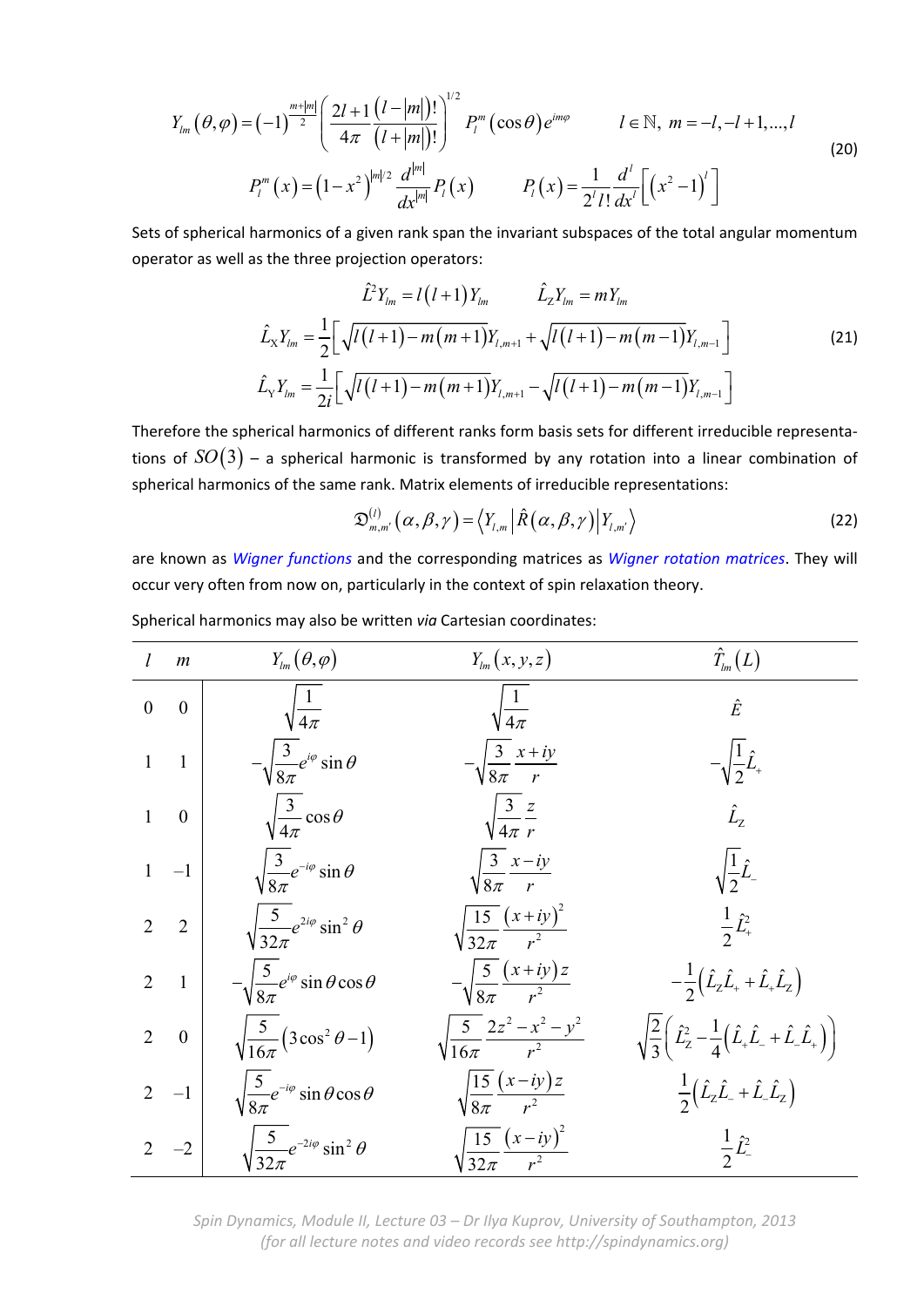$$
Y_{lm}(\theta,\varphi) = (-1)^{\frac{m+|m|}{2}} \left( \frac{2l+1}{4\pi} \frac{(l-|m|)!}{(l+|m|)!} \right)^{1/2} P_l^m(\cos\theta) e^{im\varphi} \qquad l \in \mathbb{N}, \ m = -l, -l+1, ..., l
$$
\n
$$
P_l^m(x) = (1-x^2)^{|m|/2} \frac{d^{|m|}}{dx^{|m|}} P_l(x) \qquad P_l(x) = \frac{1}{2^l l!} \frac{d^l}{dx^l} \left[ \left( x^2 - 1 \right)^l \right]
$$
\n(20)

Sets of spherical harmonics of a given rank span the invariant subspaces of the total angular momentum operator as well as the three projection operators:

$$
\hat{L}_X Y_{lm} = l(l+1)Y_{lm} \qquad \hat{L}_Z Y_{lm} = mY_{lm}
$$
\n
$$
\hat{L}_X Y_{lm} = \frac{1}{2} \Big[ \sqrt{l(l+1) - m(m+1)} Y_{l,m+1} + \sqrt{l(l+1) - m(m-1)} Y_{l,m-1} \Big]
$$
\n
$$
\hat{L}_Y Y_{lm} = \frac{1}{2i} \Big[ \sqrt{l(l+1) - m(m+1)} Y_{l,m+1} - \sqrt{l(l+1) - m(m-1)} Y_{l,m-1} \Big]
$$
\n(21)

Therefore the spherical harmonics of different ranks form basis sets for different irreducible representa‐ tions of  $SO(3)$  – a spherical harmonic is transformed by any rotation into a linear combination of spherical harmonics of the same rank. Matrix elements of irreducible representations:

$$
\mathfrak{D}_{m,m'}^{(l)}(\alpha,\beta,\gamma) = \left\langle Y_{l,m} \left| \hat{R}(\alpha,\beta,\gamma) \right| Y_{l,m'} \right\rangle \tag{22}
$$

are known as *Wigner functions* and the corresponding matrices as *Wigner rotation matrices*. They will occur very often from now on, particularly in the context of spin relaxation theory.

| l              | m              | $Y_{lm}(\theta,\varphi)$                                 | $Y_{lm}(x, y, z)$                              | $\hat{T}_{lm}(L)$                                                                                                      |
|----------------|----------------|----------------------------------------------------------|------------------------------------------------|------------------------------------------------------------------------------------------------------------------------|
| $\theta$       | $\mathbf{0}$   | $\sqrt{\frac{1}{4\pi}}$                                  | $\sqrt{\frac{1}{4\pi}}$                        | $\hat{E}$                                                                                                              |
| $\mathbf{1}$   | $\overline{1}$ | $-\sqrt{\frac{3}{8\pi}}e^{i\varphi}\sin\theta$           | $-\sqrt{\frac{3}{8\pi}}\frac{x+iy}{r}$         |                                                                                                                        |
| $\mathbf{1}$   | $\overline{0}$ | $\sqrt{\frac{3}{4\pi}}\cos\theta$                        | $\sqrt{\frac{3}{4\pi}} \frac{z}{r}$            | $\hat{L}_z$                                                                                                            |
|                | $1 -1$         | $\sqrt{\frac{3}{8\pi}}e^{-i\varphi}\sin\theta$           | $\sqrt{\frac{3}{8\pi}}\frac{x-iy}{r}$          | $\sqrt{\frac{1}{2}\hat{L}}$                                                                                            |
| $\mathcal{L}$  | $\overline{2}$ | $\sqrt{\frac{5}{32\pi}}e^{2i\varphi}\sin^2\theta$        | $\sqrt{\frac{15}{32\pi}}\frac{(x+iy)^2}{r^2}$  | $\frac{1}{2}\hat{L}_{+}^{2}$                                                                                           |
| $\overline{2}$ | $\overline{1}$ | $-\sqrt{\frac{5}{8\pi}}e^{i\varphi}\sin\theta\cos\theta$ | $-\sqrt{\frac{5}{8\pi}}\frac{(x+iy)z}{r^2}$    | $-\frac{1}{2}(\hat{L}_{z}\hat{L}_{+}+\hat{L}_{+}\hat{L}_{z})$                                                          |
| $\overline{2}$ | $\theta$       | $\sqrt{\frac{5}{16\pi}} \left(3\cos^2\theta - 1\right)$  | $\frac{5}{16\pi} \frac{2z^2 - x^2 - y^2}{r^2}$ | $\sqrt{\frac{2}{3}}\left(\hat{L}_{z}^{2}-\frac{1}{4}\left(\hat{L}_{+}\hat{L}_{-}+\hat{L}_{-}\hat{L}_{+}\right)\right)$ |
| $\overline{2}$ | $-1$           | $\sqrt{\frac{5}{8\pi}}e^{-i\varphi}\sin\theta\cos\theta$ | $\sqrt{\frac{15}{8\pi}} \frac{(x-iy)z}{r^2}$   | $\frac{1}{2}(\hat{L}_{z}\hat{L}_{-}+\hat{L}_{-}\hat{L}_{z})$                                                           |
|                | $2 -2$         | $\sqrt{\frac{5}{32\pi}}e^{-2i\varphi}\sin^2\theta$       | $\int \frac{15}{32\pi} \frac{(x-iy)^2}{r^2}$   | $\frac{1}{2}\hat{L}^2$                                                                                                 |

Spherical harmonics may also be written *via* Cartesian coordinates:

*Spin Dynamics, Module II, Lecture 03 – Dr Ilya Kuprov, University of Southampton, 2013 (for all lecture notes and video records see http://spindynamics.org)*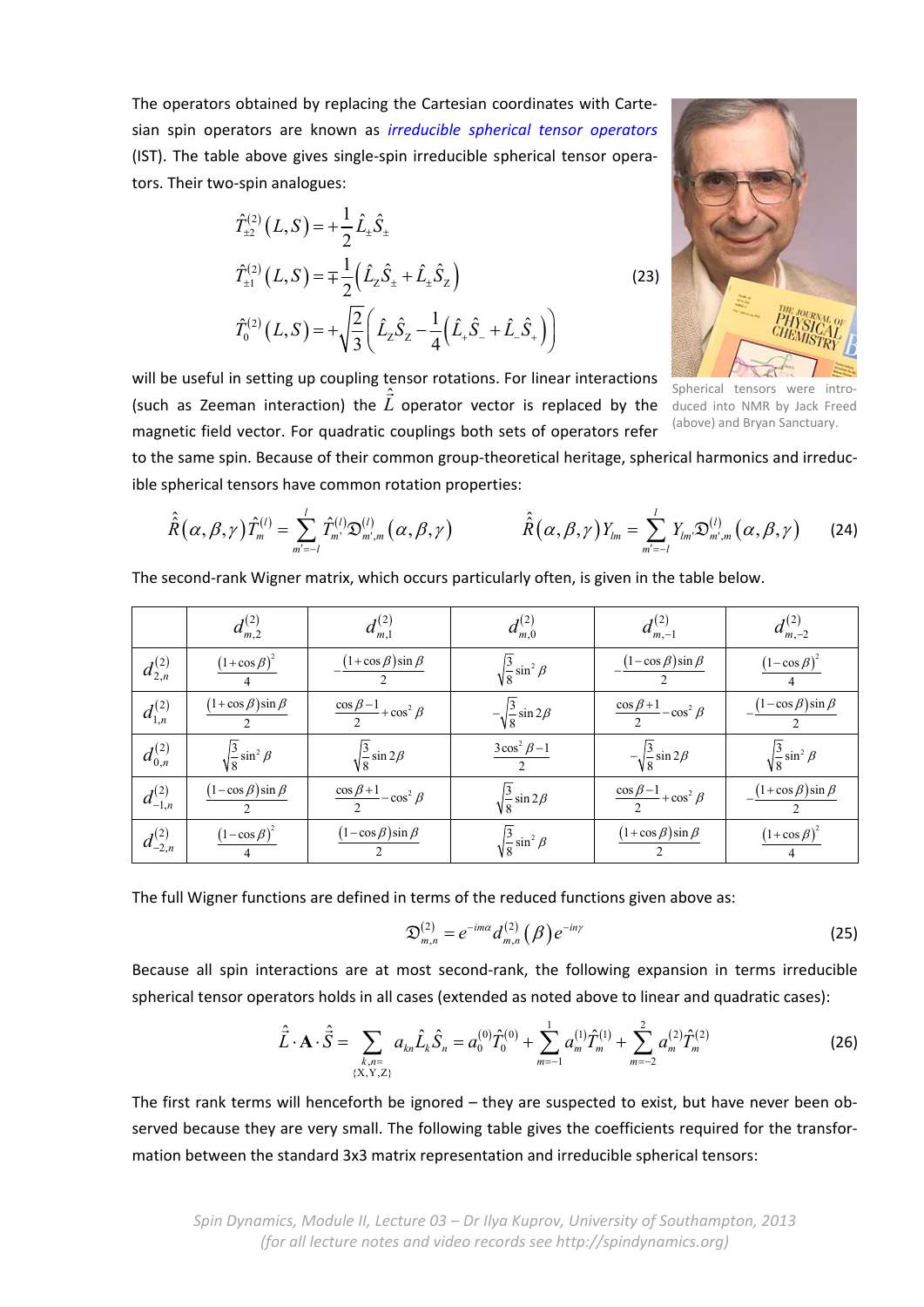The operators obtained by replacing the Cartesian coordinates with Carte‐ sian spin operators are known as *irreducible spherical tensor operators* (IST). The table above gives single‐spin irreducible spherical tensor opera‐ tors. Their two‐spin analogues:

$$
\hat{T}_{\pm 2}^{(2)}(L, S) = +\frac{1}{2}\hat{L}_{\pm}\hat{S}_{\pm}
$$
\n
$$
\hat{T}_{\pm 1}^{(2)}(L, S) = \pm \frac{1}{2} (\hat{L}_{z}\hat{S}_{\pm} + \hat{L}_{\pm}\hat{S}_{z})
$$
\n
$$
\hat{T}_{0}^{(2)}(L, S) = +\sqrt{\frac{2}{3}} (\hat{L}_{z}\hat{S}_{z} - \frac{1}{4} (\hat{L}_{+}\hat{S}_{-} + \hat{L}_{-}\hat{S}_{+}))
$$
\n(23)



will be useful in setting up coupling tensor rotations. For linear interactions<br> $\hat{P}$ (such as Zeeman interaction) the  $\hat{\vec{L}}$  operator vector is replaced by the magnetic field vector. For quadratic couplings both sets of operators refer

Spherical tensors were duced into NMR by Jack Freed (above) and Bryan Sanctuary.

to the same spin. Because of their common group-theoretical heritage, spherical harmonics and irreducible spherical tensors have common rotation properties:

$$
\hat{\hat{R}}(\alpha,\beta,\gamma)\hat{T}_{m}^{(l)}=\sum_{m'=-l}^{l}\hat{T}_{m'}^{(l)}\mathfrak{D}_{m',m}^{(l)}(\alpha,\beta,\gamma) \qquad \qquad \hat{\hat{R}}(\alpha,\beta,\gamma)Y_{lm}=\sum_{m'=-l}^{l}Y_{lm}\mathfrak{D}_{m',m}^{(l)}(\alpha,\beta,\gamma) \qquad \text{(24)}
$$

The second-rank Wigner matrix, which occurs particularly often, is given in the table below.

|                  | $d_{m,2}^{(2)}$                 | $d_{m,1}^{(2)}$                           | $d_{m,0}^{(2)}$                  | $d_{m,-1}^{(2)}$                          | $d_{m,-2}^{(2)}$                |
|------------------|---------------------------------|-------------------------------------------|----------------------------------|-------------------------------------------|---------------------------------|
| $d_{2,n}^{(2)}$  | $(1+\cos \beta)^2$              | $\frac{(1+\cos\beta)\sin\beta}{\beta}$    | $\sqrt{\frac{3}{8}}\sin^2\beta$  | $-\frac{(1-\cos\beta)\sin\beta}{\beta}$   | $(1-\cos \beta)^2$              |
| $d_{1,n}^{(2)}$  | $(1+\cos \beta)\sin \beta$      | $\frac{\cos \beta - 1}{2} + \cos^2 \beta$ | $-\sqrt{\frac{3}{8}}\sin 2\beta$ | $\frac{\cos \beta + 1}{2} - \cos^2 \beta$ | $(1-\cos\beta)\sin\beta$        |
| $d_{0,n}^{(2)}$  | $\sqrt{\frac{3}{8}}\sin^2\beta$ | $\sqrt{\frac{3}{8}}\sin 2\beta$           | $\frac{3\cos^2\beta-1}{2}$       | $-\sqrt{\frac{3}{8}}\sin 2\beta$          | $\sqrt{\frac{3}{8}}\sin^2\beta$ |
| $d^{(2)}_{-1,n}$ | $(1-\cos\beta)\sin\beta$        | $\frac{\cos \beta + 1}{2} - \cos^2 \beta$ | $\sqrt{\frac{3}{8}}\sin 2\beta$  | $\frac{\cos \beta - 1}{2} + \cos^2 \beta$ | $(1+\cos\beta)\sin\beta$        |
| $d_{-2,n}^{(2)}$ | $(1-\cos \beta)^2$              | $(1-\cos\beta)\sin\beta$                  | $\sqrt{\frac{3}{8}}\sin^2\beta$  | $(1 + \cos \beta) \sin \beta$             | $(1+\cos \beta)^2$              |

The full Wigner functions are defined in terms of the reduced functions given above as:

$$
\mathfrak{D}_{m,n}^{(2)} = e^{-im\alpha} d_{m,n}^{(2)}(\beta) e^{-in\gamma}
$$
 (25)

Because all spin interactions are at most second-rank, the following expansion in terms irreducible spherical tensor operators holds in all cases (extended as noted above to linear and quadratic cases):

$$
\hat{\vec{L}} \cdot \mathbf{A} \cdot \hat{\vec{S}} = \sum_{\substack{k,n=1\\ \{X,Y,Z\}}} a_{kn} \hat{L}_k \hat{S}_n = a_0^{(0)} \hat{T}_0^{(0)} + \sum_{m=-1}^1 a_m^{(1)} \hat{T}_m^{(1)} + \sum_{m=-2}^2 a_m^{(2)} \hat{T}_m^{(2)} \tag{26}
$$

The first rank terms will henceforth be ignored – they are suspected to exist, but have never been observed because they are very small. The following table gives the coefficients required for the transformation between the standard 3x3 matrix representation and irreducible spherical tensors: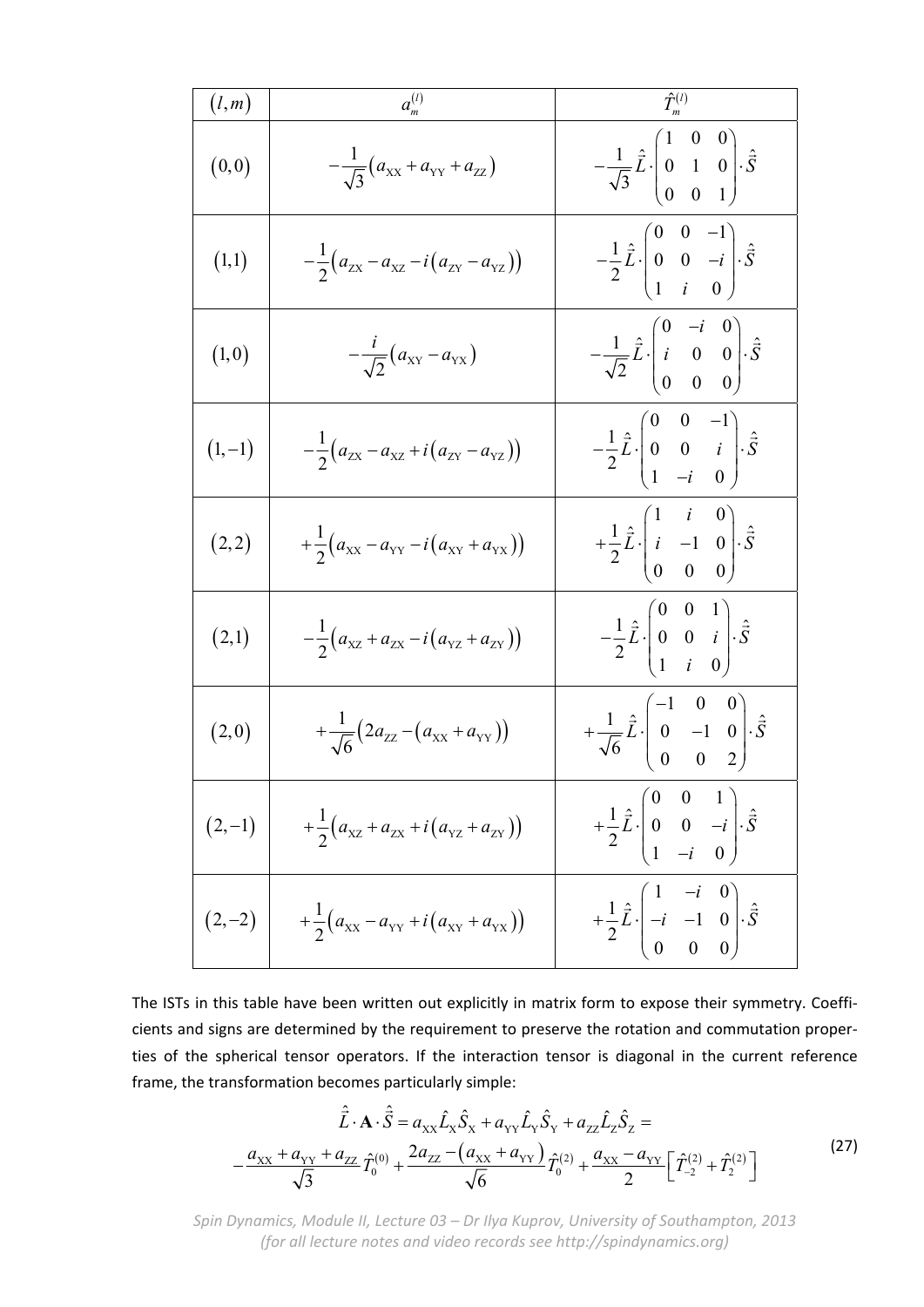| (l,m)    | $a_m^{(l)}$                                              | $\hat{T}_m^{(l)}$                                                                                                           |
|----------|----------------------------------------------------------|-----------------------------------------------------------------------------------------------------------------------------|
| (0, 0)   | $-\frac{1}{\sqrt{3}}(a_{xx}+a_{yy}+a_{zz})$              | $-\frac{1}{\sqrt{3}}\hat{L}\cdot\begin{pmatrix} 1 & 0 & 0 \\ 0 & 1 & 0 \\ 0 & 0 & 1 \end{pmatrix}\cdot\hat{\vec{S}}$        |
| (1,1)    | $-\frac{1}{2}(a_{zx}-a_{xz}-i(a_{zx}-a_{yz}))$           | $-\frac{1}{2}\hat{\vec{L}}\cdot \begin{pmatrix} 0 & 0 & -1 \\ 0 & 0 & -i \\ 1 & i & 0 \end{pmatrix}\cdot \hat{\vec{S}}$     |
| (1, 0)   | $-\frac{i}{\sqrt{2}}(a_{XY}-a_{YX})$                     | $-\frac{1}{\sqrt{2}}\hat{\vec{L}}\cdot\begin{pmatrix} 0 & -i & 0 \\ i & 0 & 0 \\ 0 & 0 & 0 \end{pmatrix}\cdot\hat{\vec{S}}$ |
| $(1,-1)$ | $-\frac{1}{2}(a_{zx}-a_{xz}+i(a_{zx}-a_{yz}))$           | $-\frac{1}{2}\hat{\vec{L}}\cdot \begin{pmatrix} 0 & 0 & -1 \\ 0 & 0 & i \\ 1 & -i & 0 \end{pmatrix}\cdot \hat{\vec{S}}$     |
| (2,2)    | $+\frac{1}{2}(a_{xx}-a_{yy}-i(a_{xx}+a_{yx}))$           | $+\frac{1}{2}\hat{\vec{L}}\cdot\begin{pmatrix} 1 & i & 0 \\ i & -1 & 0 \\ 0 & 0 & 0 \end{pmatrix}\cdot\hat{\vec{S}}$        |
| (2,1)    | $-\frac{1}{2}(a_{xz}+a_{zx}-i(a_{yz}+a_{zy}))$           | $-\frac{1}{2}\hat{\vec{L}}\cdot\begin{pmatrix} 0 & 0 & 1 \\ 0 & 0 & i \\ 1 & i & 0 \end{pmatrix}\cdot\hat{\vec{S}}$         |
| (2,0)    | $+\frac{1}{\sqrt{6}}(2a_{ZZ}-(a_{xx}+a_{yy}))$           | $+\frac{1}{\sqrt{6}}\hat{L}\cdot\begin{bmatrix} -1 & 0 & 0 \\ 0 & -1 & 0 \\ 0 & 0 & 2 \end{bmatrix}\cdot\hat{\vec{S}}$      |
| $(2,-1)$ | $+\frac{1}{2}(a_{xz}+a_{zx}+i(a_{yz}+a_{zx}))$           | $+\frac{1}{2}\hat{\vec{L}}\cdot\begin{vmatrix} 0 & 0 & 1 \\ 0 & 0 & -i \\ 1 & -i & 0 \end{vmatrix}\cdot\hat{\vec{S}}$       |
|          | $(2,-2)$ + $\frac{1}{2}(a_{xx}-a_{yy}+i(a_{xy}+a_{yx}))$ | $+\frac{1}{2}\hat{L}\cdot\left(\begin{array}{ccc} 1 & -i & 0 \\ -i & -1 & 0 \\ 0 & 0 & 0 \end{array}\right)\cdot\hat{S}$    |

The ISTs in this table have been written out explicitly in matrix form to expose their symmetry. Coeffi‐ cients and signs are determined by the requirement to preserve the rotation and commutation proper‐ ties of the spherical tensor operators. If the interaction tensor is diagonal in the current reference frame, the transformation becomes particularly simple:

$$
\hat{\vec{L}} \cdot \mathbf{A} \cdot \hat{\vec{S}} = a_{xx} \hat{L}_x \hat{S}_x + a_{yy} \hat{L}_y \hat{S}_y + a_{zz} \hat{L}_z \hat{S}_z =
$$
\n
$$
-\frac{a_{xx} + a_{yy} + a_{zz}}{\sqrt{3}} \hat{T}_0^{(0)} + \frac{2a_{zz} - (a_{xx} + a_{yy})}{\sqrt{6}} \hat{T}_0^{(2)} + \frac{a_{xx} - a_{yy}}{2} \left[ \hat{T}_{-2}^{(2)} + \hat{T}_2^{(2)} \right]
$$
\n(27)